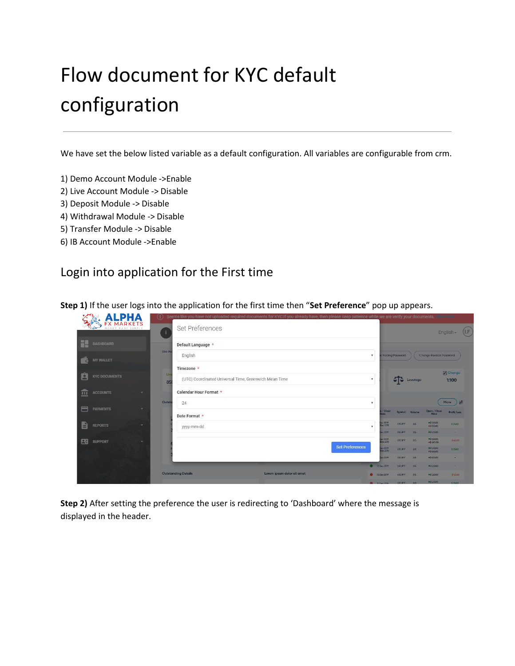# Flow document for KYC default configuration

We have set the below listed variable as a default configuration. All variables are configurable from crm.

- 1) Demo Account Module ->Enable
- 2) Live Account Module -> Disable
- 3) Deposit Module -> Disable
- 4) Withdrawal Module -> Disable
- 5) Transfer Module -> Disable
- 6) IB Account Module ->Enable

# Login into application for the First time

**Step 1)** If the user logs into the application for the first time then "**Set Preference**" pop up appears.

| <b>LPHA</b>                                      | (i)              | Seems like you have not uploaded required documents for KYC.If you already have, then please keep patience while we are verify your documents. |                            |                        |                                                   |                    |               |                                     |                   |
|--------------------------------------------------|------------------|------------------------------------------------------------------------------------------------------------------------------------------------|----------------------------|------------------------|---------------------------------------------------|--------------------|---------------|-------------------------------------|-------------------|
| <b>FX MARKETS</b>                                | $\pm$            | Set Preferences                                                                                                                                |                            |                        |                                                   |                    |               |                                     | (LF)<br>English - |
| He<br>DASHBOARD                                  |                  | Default Language *                                                                                                                             |                            |                        |                                                   |                    |               |                                     |                   |
| ಿ<br>MY WALLET                                   | Live Ac          | English                                                                                                                                        |                            |                        | $\overline{\mathbf{v}}$                           | e Trading Password |               | Change Investor Password            |                   |
|                                                  |                  | Timezone *                                                                                                                                     |                            |                        |                                                   |                    |               |                                     | <b>Z</b> Change   |
| 白<br><b>KYC DOCUMENTS</b>                        | <b>Liv</b><br>85 | (UTC) Coordinated Universal Time, Greenwich Mean Time                                                                                          |                            |                        | $\overline{\mathbf{v}}$                           | ाउ                 | Leverage      |                                     | 1:100             |
| 血<br><b>ACCOUNTS</b><br>÷                        |                  | Calendar Hour Format *                                                                                                                         |                            |                        |                                                   |                    |               |                                     |                   |
|                                                  | Outsto           | 24                                                                                                                                             |                            |                        | $\boldsymbol{\mathrm{v}}$                         |                    |               |                                     | 是<br>More         |
| A<br><b>PAYMENTS</b><br>$\overline{\phantom{a}}$ |                  | Date Format *                                                                                                                                  |                            |                        | / Close<br>ate                                    |                    | Symbol Volume | Open / Close<br>Price               | Profit/Loss       |
| B<br><b>REPORTS</b><br>÷                         |                  | yyyy-mm-dd                                                                                                                                     |                            |                        | $-2079$<br><b>ATTS:</b> the<br>$\pmb{\mathrm{v}}$ | USD.IPY            | 0.5           | <b>9552000</b><br><b>es 555.00</b>  | \$35.00           |
|                                                  |                  |                                                                                                                                                |                            |                        | <b>STES 18</b>                                    | <b>USDJPY</b>      | $-0.5$        | <b>9552000</b>                      | $\sim$            |
| 26<br><b>SUPPORT</b>                             |                  |                                                                                                                                                |                            |                        | Sec 2019<br>Dec 2019                              | <b>USDJPY</b>      | $-0.5$        | <b>ass20.00</b><br><b>es 480.00</b> | $-840.00$         |
|                                                  |                  |                                                                                                                                                |                            | <b>Set Preferences</b> | No: 2019<br>Dec 2019                              | <b>USD.IPY</b>     | 0.5           | <b>0552000</b><br>#\$55500          | \$35.00           |
|                                                  |                  |                                                                                                                                                |                            |                        | ACZCD                                             | <b>USD.IPY</b>     | $\Omega$      | <b>essance</b>                      |                   |
|                                                  |                  |                                                                                                                                                |                            |                        | 120 <sub>00</sub> 2079                            | <b>USD.IPY</b>     | 0.5           | <b>essagge</b>                      |                   |
|                                                  |                  | <b>Outstanding Details</b>                                                                                                                     | Lorem ipsum dolor sit amet |                        | <b>Co</b> 12 Dec 2019                             | <b>USDJPY</b>      | 0.5           | <b>#5520.00</b>                     | $-540.00$         |
|                                                  |                  |                                                                                                                                                |                            |                        | 0.0162200                                         | USDJPY AS          |               | <b>9552000</b>                      | \$3500            |

**Step 2)** After setting the preference the user is redirecting to 'Dashboard' where the message is displayed in the header.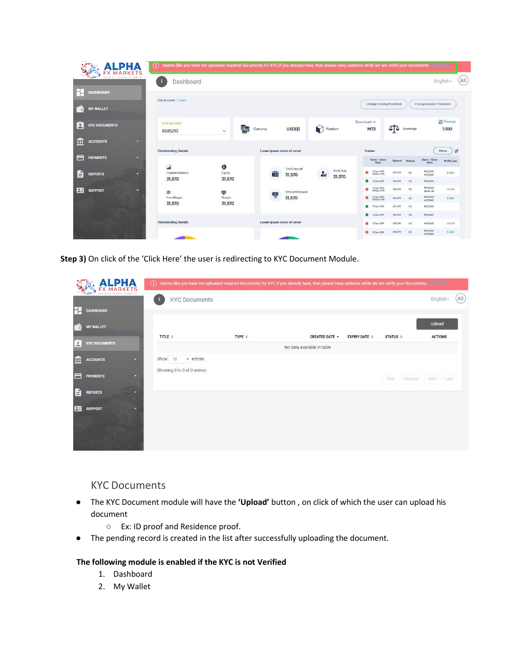|                                       | <b>ALPHA</b>             | Seems like you have not uploaded required documents for KYC.If you already have, then please keep patience while we are verify your documents.<br>D |                  |          |                      |                                |               |                       |               |                                           |                          |               |                                                   |                                |     |
|---------------------------------------|--------------------------|-----------------------------------------------------------------------------------------------------------------------------------------------------|------------------|----------|----------------------|--------------------------------|---------------|-----------------------|---------------|-------------------------------------------|--------------------------|---------------|---------------------------------------------------|--------------------------------|-----|
|                                       | <b>IONEY MADE SIMPLE</b> | Dashboard<br>E.                                                                                                                                     |                  |          |                      |                                |               |                       |               |                                           |                          |               |                                                   | English -                      | (AS |
| <b>DASHBOARD</b>                      |                          | Live Account / Lorem                                                                                                                                |                  |          |                      |                                |               |                       |               |                                           |                          |               |                                                   |                                |     |
| <b>MY WALLET</b><br>$\epsilon$        |                          |                                                                                                                                                     |                  |          |                      |                                |               |                       |               | Change Trading Password                   |                          |               | Change Investor Password                          |                                |     |
| $\frac{1}{2}$<br><b>KYC DOCUMENTS</b> |                          | Live Account<br>8585210                                                                                                                             | $\checkmark$     | Curruncy |                      | USD( <sub>5</sub> )            | Platform      |                       | Download V    | MT5                                       | ाङ                       | Leverage      |                                                   | <b>Z</b> Change<br>1:100       |     |
| <b>ACCOUNTS</b><br>m                  | $\overline{\phantom{0}}$ | <b>Outstanding Details</b>                                                                                                                          |                  |          |                      | Lorem ipsum dolor sit amet     |               |                       | <b>Trades</b> |                                           |                          |               |                                                   | 원<br>More                      |     |
| $\equiv$<br><b>PAYMENTS</b>           | ×                        | <b>Li</b>                                                                                                                                           | Φ                |          |                      |                                |               |                       |               | Open / Close<br>Date                      | <b>Symbol</b>            | Volume        | Open / Close<br>Price                             | Profit/Loss                    |     |
| e<br><b>REPORTS</b>                   | ×                        | Current Balance<br>31,570                                                                                                                           | Equity<br>31,570 |          | a m<br>$\frac{1}{2}$ | <b>Total Deposit</b><br>31,570 | $R_{\rm{sh}}$ | Profit/loss<br>31,570 |               | 12 Doc 2019<br>20 Dec 2019<br>12 Dec 2019 | USD.JPY<br>USDJPY        | 0.5<br>$-0.5$ | <b>*\$520.00</b><br>·\$555.00<br><b>#\$520,00</b> | \$35.00<br>$\sim$              |     |
| 2 <sup>c</sup><br><b>SUPPORT</b>      | ×                        | 曲                                                                                                                                                   | 超                |          | $rac{1}{\sqrt{2}}$   | Total withdrawal               |               |                       |               | 12 Dec 2019<br>20 Dec 2019                | <b>USDJPY</b>            | 0.5           | <b>*\$520.00</b><br><b>*\$ 480.00</b>             | $-$4000$                       |     |
|                                       |                          | Free Margin<br>31,570                                                                                                                               | Margin<br>31,570 |          |                      | 31,570                         |               |                       |               | 12 Dec 2019<br>20 Dec 2019<br>12 Dec 2019 | <b>USDJPY</b><br>USD.IPY | 0.5<br>0.5    | <b>#\$520.00</b><br>·\$555.00<br><b>#\$520.00</b> | \$35.00<br>$\scriptstyle\star$ |     |
|                                       |                          |                                                                                                                                                     |                  |          |                      |                                |               |                       |               | 12 Dec 2019                               | USD.JPY                  | 0.5           | <b>*\$520.00</b>                                  | ×                              |     |
|                                       |                          | <b>Outstanding Details</b>                                                                                                                          |                  |          |                      | Lorem ipsum dolor sit amet     |               |                       | ø<br>٠        | 12 Dec 2019<br>12 Dec 2019                | <b>USDJPY</b><br>USD.IPY | 0.5<br>0.5    | <b>e\$520.00</b><br><b>#\$520.00</b>              | $-540.00$<br>\$35.00           |     |
|                                       |                          |                                                                                                                                                     |                  |          |                      |                                |               |                       |               |                                           |                          |               | <b>*\$555.00</b>                                  |                                |     |

**Step 3)** On click of the 'Click Here' the user is redirecting to KYC Document Module.

|          | <b>ALPHA</b>         | $\Omega$                      |                  | Seems like you have not uploaded required documents for KYCJf you already have, then please keep patience while we are verify your documents. |                                            |                   |                |      |
|----------|----------------------|-------------------------------|------------------|-----------------------------------------------------------------------------------------------------------------------------------------------|--------------------------------------------|-------------------|----------------|------|
|          | MONEY MADE SIMPLE    | <b>KYC Documents</b><br>в     |                  |                                                                                                                                               |                                            |                   | English-       | (AS) |
| Н        | <b>DASHBOARD</b>     |                               |                  |                                                                                                                                               |                                            |                   |                |      |
| e.       | <b>MY WALLET</b>     |                               |                  |                                                                                                                                               |                                            |                   | Upload         |      |
| Ė        | <b>KYC DOCUMENTS</b> | TITLE $\triangleq$            | TYPE $\doteqdot$ | CREATED DATE *<br>No data available in table                                                                                                  | <b>EXPIRY DATE <math>\triangleq</math></b> | STATUS $\hat{=}$  | <b>ACTIONS</b> |      |
| 血        | <b>ACCOUNTS</b><br>٠ | $\sqrt{ }$ entries<br>Show 10 |                  |                                                                                                                                               |                                            |                   |                |      |
| $\equiv$ | <b>PAYMENTS</b><br>っ | Showing 0 to 0 of 0 entries   |                  |                                                                                                                                               |                                            | First<br>Previous | Next<br>Last   |      |
| B        | <b>REPORTS</b>       |                               |                  |                                                                                                                                               |                                            |                   |                |      |
| 2c       | <b>SUPPORT</b><br>o  |                               |                  |                                                                                                                                               |                                            |                   |                |      |
|          |                      |                               |                  |                                                                                                                                               |                                            |                   |                |      |

## KYC Documents

- The KYC Document module will have the **'Upload'** button , on click of which the user can upload his document
	- Ex: ID proof and Residence proof.
- The pending record is created in the list after successfully uploading the document.

### **The following module is enabled if the KYC is not Verified**

- 1. Dashboard
- 2. My Wallet